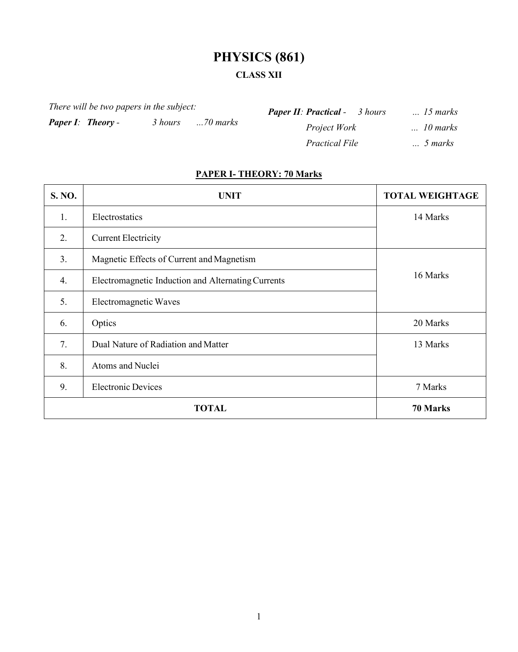# **PHYSICS (861)**

# **CLASS XII**

*There will be two papers in the subject:*

*Paper I: Theory - 3 hours ...70 marks*

*Paper II: Practical - 3 hours ... 15 marks Project Work ... 10 marks Practical File ... 5 marks*

# **PAPER I- THEORY: 70 Marks**

| S. NO.       | <b>UNIT</b>                                        | <b>TOTAL WEIGHTAGE</b> |
|--------------|----------------------------------------------------|------------------------|
| 1.           | Electrostatics                                     | 14 Marks               |
| 2.           | <b>Current Electricity</b>                         |                        |
| 3.           | Magnetic Effects of Current and Magnetism          |                        |
| 4.           | Electromagnetic Induction and Alternating Currents | 16 Marks               |
| 5.           | Electromagnetic Waves                              |                        |
| 6.           | Optics                                             | 20 Marks               |
| 7.           | Dual Nature of Radiation and Matter                | 13 Marks               |
| 8.           | Atoms and Nuclei                                   |                        |
| 9.           | <b>Electronic Devices</b>                          | 7 Marks                |
| <b>TOTAL</b> |                                                    | 70 Marks               |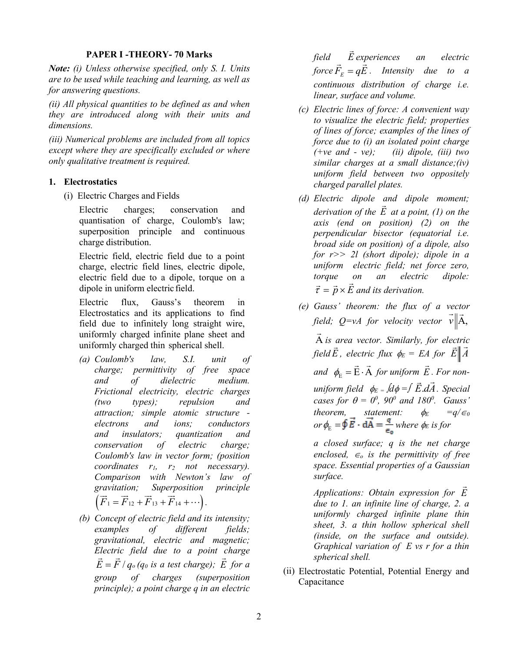#### **PAPER I -THEORY- 70 Marks**

*Note: (i) Unless otherwise specified, only S. I. Units are to be used while teaching and learning, as well as for answering questions.*

*(ii) All physical quantities to be defined as and when they are introduced along with their units and dimensions.* 

*(iii) Numerical problems are included from all topics except where they are specifically excluded or where only qualitative treatment is required.*

#### **1. Electrostatics**

(i) Electric Charges and Fields

Electric charges; conservation and quantisation of charge, Coulomb's law; superposition principle and continuous charge distribution.

Electric field, electric field due to a point charge, electric field lines, electric dipole, electric field due to a dipole, torque on a dipole in uniform electric field.

Electric flux, Gauss's theorem in Electrostatics and its applications to find field due to infinitely long straight wire, uniformly charged infinite plane sheet and uniformly charged thin spherical shell.

- *(a) Coulomb's law, S.I. unit of charge; permittivity of free space and of dielectric medium. Frictional electricity, electric charges (two types); repulsion and attraction; simple atomic structure electrons and ions; conductors and insulators; quantization and conservation of electric charge; Coulomb's law in vector form; (position coordinates r1, r2 not necessary). Comparison with Newton's law of gravitation; Superposition principle*  $\left(\vec{F}_1 = \vec{F}_{12} + \vec{F}_{13} + \vec{F}_{14} + \cdots\right).$
- *(b) Concept of electric field and its intensity; examples of different fields; gravitational, electric and magnetic; Electric field due to a point charge*   $\vec{E} = \vec{F} / q_o (q_o \text{ is a test charge}); \vec{E} \text{ for a}$ *group of charges (superposition principle); a point charge q in an electric*

*field*  $\overline{a}$ *experiences an electric field E experiences* an electric<br>*force*  $\vec{F}_F = q\vec{E}$ *. Intensity* due to a *continuous distribution of charge i.e. linear, surface and volume.*

- *(c) Electric lines of force: A convenient way to visualize the electric field; properties of lines of force; examples of the lines of force due to (i) an isolated point charge (+ve and - ve); (ii) dipole, (iii) two similar charges at a small distance;(iv) uniform field between two oppositely charged parallel plates.*
- *(d) Electric dipole and dipole moment; derivation of the E at a point, (1) on the axis (end on position) (2) on the perpendicular bisector (equatorial i.e. broad side on position) of a dipole, also for r>> 2l (short dipole); dipole in a uniform electric field; net force zero, torque on an electric dipole:*   $\vec{\tau} = \vec{p} \times \vec{E}$  and its derivation.
- *(e) Gauss' theorem: the flux of a vector field; Q=vA for velocity vector v*  $\|$ A, ⊂cιι<br>→ II →

A  $\overline{a}$ *is area vector. Similarly, for electric field E*  $\frac{1}{1}$ *, electric flux*  $\phi_E = EA$  *for*  $E||A$  $\frac{1}{2}$   $\frac{1}{2}$ 

 $and \phi_{\rm E} = \vec{\rm E} \cdot \vec{\rm A}$  *for uniform*  $\vec{E}$ *. For non-*

*uniform field* φ*E =* ∫*d*φ *=*∫ *E dA*. ▔▔<br>▆▔▗▅ *. Special cases for*  $\theta = 0^0$ *, 90<sup>0</sup> and 180<sup>0</sup>. Gauss' theorem,* statement:  $\phi_E$  =q/ $\epsilon_0$  $or \phi_{\rm E} = \oint \vec{E} \cdot d\vec{A} = \frac{q}{\epsilon}$  *where*  $\phi_{\rm E}$  *is for* 

*a closed surface; q is the net charge enclosed,*  $\epsilon_o$  *is the permittivity of free space. Essential properties of a Gaussian surface.* 

*Applications: Obtain expression for E*  $\overline{a}$ *due to 1. an infinite line of charge, 2. a uniformly charged infinite plane thin sheet, 3. a thin hollow spherical shell (inside, on the surface and outside). Graphical variation of E vs r for a thin spherical shell.*

(ii) Electrostatic Potential, Potential Energy and Capacitance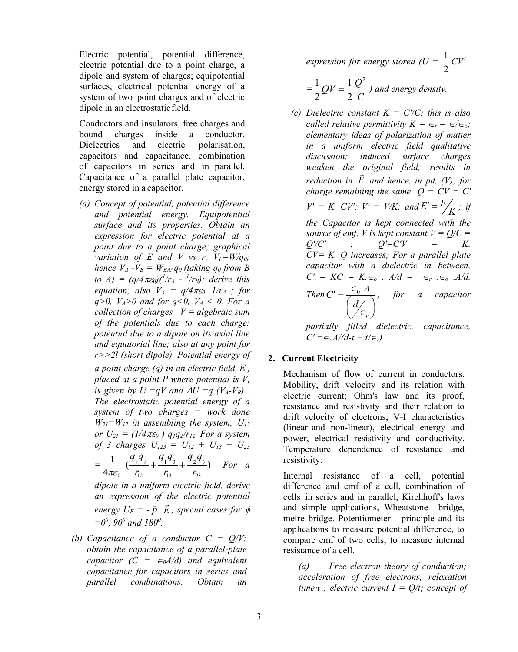Electric potential, potential difference, electric potential due to a point charge, a dipole and system of charges; equipotential surfaces, electrical potential energy of a system of two point charges and of electric dipole in an electrostatic field.

Conductors and insulators, free charges and bound charges inside a conductor. Dielectrics and electric polarisation, capacitors and capacitance, combination of capacitors in series and in parallel. Capacitance of a parallel plate capacitor, energy stored in a capacitor.

*(a) Concept of potential, potential difference and potential energy. Equipotential surface and its properties. Obtain an expression for electric potential at a point due to a point charge; graphical variation of E and V vs r,*  $V_P = W/q_0$ *; hence*  $V_A - V_B = W_{BA}q_0$  (taking  $q_0$  *from B to*  $A$ ) =  $(q/4\pi\varepsilon_0)(1/r_A - 1/r_B)$ ; derive this *equation; also*  $V_A = q/4\pi\epsilon_0$  *.1/r<sub>A</sub> ; for q>0, V<sub>A</sub>>0 and for q<0, V<sub>A</sub> < 0. For a collection of charges V = algebraic sum of the potentials due to each charge; potential due to a dipole on its axial line and equatorial line; also at any point for r>>2l (short dipole). Potential energy of a point charge (q) in an electric field E ,* 

*placed at a point P where potential is V, is given by U =qV and*  $\Delta U = qV A$ *-V<sub>B</sub>). The electrostatic potential energy of a system of two charges = work done W21=W12 in assembling the system; U12 or*  $U_{21} = (1/4 \pi \varepsilon_0)$  *q*<sub>1</sub>*q*<sub>2</sub>/*r*<sub>12</sub>. *For a system of 3 charges*  $U_{123} = U_{12} + U_{13} + U_{23}$ 

$$
=\frac{1}{4\pi\varepsilon_0}\,\left(\frac{q_1q_2}{r_{12}}+\frac{q_1q_3}{r_{13}}+\frac{q_2q_3}{r_{23}}\right).\quad For\quad a
$$

*dipole in a uniform electric field, derive an expression of the electric potential*   $\frac{d}{dx}$   $\frac{d}{dx}$   $\frac{d}{dx}$   $\frac{d}{dx}$   $\frac{d}{dx}$   $\frac{d}{dx}$   $\frac{d}{dx}$   $\frac{d}{dx}$   $\frac{d}{dx}$   $\frac{d}{dx}$ *, special cases for* φ  $=0^0$ , 90<sup>0</sup> and 180<sup>0</sup>.

*(b) Capacitance of a conductor C = Q/V; obtain the capacitance of a parallel-plate capacitor*  $(C = \epsilon_0 A/d)$  *and equivalent capacitance for capacitors in series and parallel combinations. Obtain an*  *expression for energy stored (* $U = \frac{1}{2}$ *)* 2  $CV^2$ 

$$
=\frac{1}{2}QV=\frac{1}{2}\frac{Q^2}{C}
$$
 and energy density.

*(c) Dielectric constant K = C'/C; this is also called relative permittivity*  $K = \epsilon_r = \epsilon/\epsilon_o$ ; *elementary ideas of polarization of matter in a uniform electric field qualitative discussion; induced surface charges weaken the original field; results in reduction in E and hence, in pd, (V); for charge remaining the same*  $Q = CV = CV$  $V' = K$ .  $CV'$ ;  $V' = V/K$ ; and  $E' = \frac{E}{K}$ ; if *the Capacitor is kept connected with the source of emf, V is kept constant*  $V = Q/C =$  $Q'/C'$  ;  $Q' = C'V$  = *K. CV= K. Q increases; For a parallel plate capacitor with a dielectric in between, C' = KC = K.*∈*<sup>o</sup> . A/d =* ∈*<sup>r</sup> .*∈*<sup>o</sup> .A/d. Then*  $C' = \frac{C_0}{C}$ *r*  $C' = \frac{\epsilon_0 A}{\sqrt{2\pi}}$ *d*  $\mathcal{L} = \frac{\epsilon_0 A}{\left(\frac{d}{\epsilon_r}\right)}$ *; for a capacitor* 

*partially filled dielectric, capacitance, C' =*∈*oA/(d-t + t/*∈*r).*

# **2. Current Electricity**

Mechanism of flow of current in conductors. Mobility, drift velocity and its relation with electric current; Ohm's law and its proof, resistance and resistivity and their relation to drift velocity of electrons; V-I characteristics (linear and non-linear), electrical energy and power, electrical resistivity and conductivity. Temperature dependence of resistance and resistivity.

Internal resistance of a cell, potential difference and emf of a cell, combination of cells in series and in parallel, Kirchhoff's laws and simple applications, Wheatstone bridge, metre bridge. Potentiometer - principle and its applications to measure potential difference, to compare emf of two cells; to measure internal resistance of a cell.

*(a) Free electron theory of conduction; acceleration of free electrons, relaxation time*  $\tau$ ; *electric current*  $I = Q/t$ ; *concept of*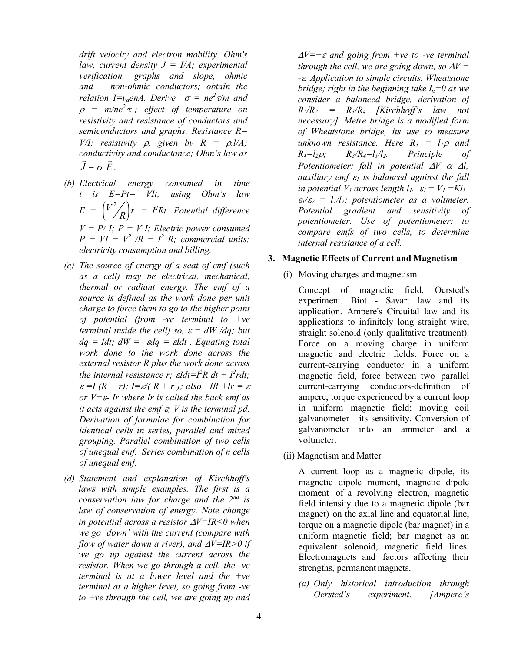*drift velocity and electron mobility. Ohm's law, current density*  $J = I/A$ ; *experimental verification, graphs and slope, ohmic and non-ohmic conductors; obtain the relation I=v<sub>d</sub>enA. Derive*  $\sigma = ne^2 \tau/m$  and <sup>ρ</sup> *= m/ne<sup>2</sup> τ ; effect of temperature on resistivity and resistance of conductors and semiconductors and graphs. Resistance R= V*/*I; resistivity*  $\rho$ *, given by*  $R = \rho$ *.l/A; conductivity and conductance; Ohm's law as J* ں۔<br>=  $=$   $\sigma E$  $\frac{1}{2}$ *.*

- *(b) Electrical energy consumed in time t is E=Pt= VIt; using Ohm's law*   $E = \left( \frac{V^2}{R} \right) t = I^2 R t$ . Potential difference  $V = P/I$ ;  $P = VI$ ; Electric power consumed  $P = VI = V^2/R = I^2 R$ ; commercial units; *electricity consumption and billing.*
- *(c) The source of energy of a seat of emf (such as a cell) may be electrical, mechanical, thermal or radiant energy. The emf of a source is defined as the work done per unit charge to force them to go to the higher point of potential (from -ve terminal to +ve terminal inside the cell) so,*  $\varepsilon = dW/dq$ ; *but dq = Idt; dW =* ε*dq =* ε*Idt . Equating total work done to the work done across the external resistor R plus the work done across the internal resistance r;*  $\epsilon I d t = I^2 R dt + I^2 r dt$ *;*  $\varepsilon = I (R + r)$ ;  $I = \varepsilon / (R + r)$ ; also IR +Ir =  $\varepsilon$ *or V=*ε*- Ir where Ir is called the back emf as it acts against the emf* ε*; V is the terminal pd. Derivation of formulae for combination for identical cells in series, parallel and mixed grouping. Parallel combination of two cells of unequal emf. Series combination of n cells of unequal emf.*
- *(d) Statement and explanation of Kirchhoff's laws with simple examples. The first is a conservation law for charge and the 2nd is law of conservation of energy. Note change in potential across a resistor* ∆*V=IR<0 when we go 'down' with the current (compare with flow of water down a river), and* ∆*V=IR>0 if we go up against the current across the resistor. When we go through a cell, the -ve terminal is at a lower level and the +ve terminal at a higher level, so going from -ve to +ve through the cell, we are going up and*

<sup>∆</sup>*V=+*<sup>ε</sup> *and going from +ve to -ve terminal through the cell, we are going down, so*  $\Delta V =$ *-*ε*. Application to simple circuits. Wheatstone bridge; right in the beginning take*  $I_{\circ}=0$  *as we consider a balanced bridge, derivation of*   $R_1/R_2$  =  $R_3/R_4$  *[Kirchhoff's law not necessary]. Metre bridge is a modified form of Wheatstone bridge, its use to measure unknown resistance. Here*  $R_3 = l_1 \rho$  *and*  $R_4=l_2\rho$ ;  $R_3/R_4=l_1/l_2$ . Principle of *Potentiometer: fall in potential* ∆*V* <sup>α</sup> <sup>∆</sup>*l; auxiliary emf* <sup>ε</sup>*<sup>1</sup> is balanced against the fall in potential V<sub>1</sub> across length*  $l_1$ *.*  $\varepsilon_1 = V_1 = Kl_1$ *;*  $\varepsilon_1/\varepsilon_2 = l_1/l_2$ ; potentiometer as a voltmeter. *Potential gradient and sensitivity of potentiometer. Use of potentiometer: to compare emfs of two cells, to determine internal resistance of a cell.*

#### **3. Magnetic Effects of Current and Magnetism**

(i) Moving charges and magnetism

Concept of magnetic field, Oersted's experiment. Biot - Savart law and its application. Ampere's Circuital law and its applications to infinitely long straight wire, straight solenoid (only qualitative treatment). Force on a moving charge in uniform magnetic and electric fields. Force on a current-carrying conductor in a uniform magnetic field, force between two parallel current-carrying conductors-definition of ampere, torque experienced by a current loop in uniform magnetic field; moving coil galvanometer - its sensitivity. Conversion of galvanometer into an ammeter and a voltmeter.

(ii) Magnetism and Matter

A current loop as a magnetic dipole, its magnetic dipole moment, magnetic dipole moment of a revolving electron, magnetic field intensity due to a magnetic dipole (bar magnet) on the axial line and equatorial line, torque on a magnetic dipole (bar magnet) in a uniform magnetic field; bar magnet as an equivalent solenoid, magnetic field lines. Electromagnets and factors affecting their strengths, permanent magnets.

*(a) Only historical introduction through Oersted's experiment. [Ampere's*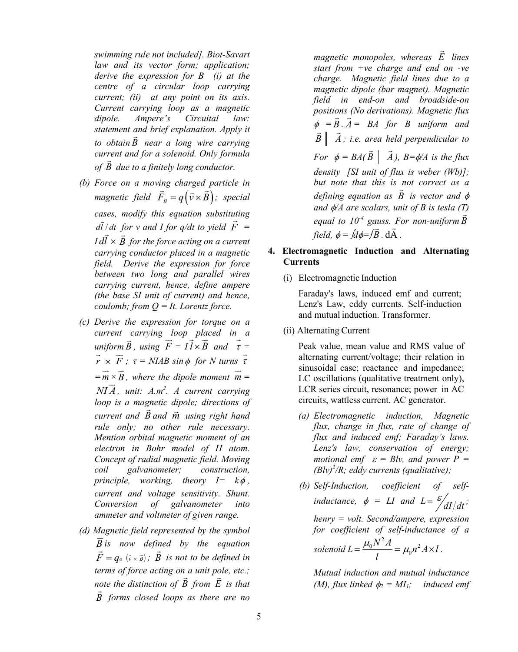*swimming rule not included]. Biot-Savart law and its vector form; application; derive the expression for B (i) at the centre of a circular loop carrying current; (ii) at any point on its axis. Current carrying loop as a magnetic dipole. Ampere's Circuital law: statement and brief explanation. Apply it to obtain B near a long wire carrying current and for a solenoid. Only formula of B due to a finitely long conductor.*

- *(b) Force on a moving charged particle in magnetic field*  $\vec{F}_B = q(\vec{v} \times \vec{B})$ ; special *cases, modify this equation substituting*   $d\bar{l}$  / *dt for v* and *I for q/dt to yield*  $\vec{F}$  = *I dl* × *<sup>B</sup> for the force acting on a current carrying conductor placed in a magnetic field. Derive the expression for force between two long and parallel wires carrying current, hence, define ampere (the base SI unit of current) and hence, coulomb; from Q = It. Lorentz force.*
- *(c) Derive the expression for torque on a current carrying loop placed in a*   $\vec{B}$ , using  $\vec{F} = I \vec{l} \times \vec{B}$  and  $\vec{\tau} = I$ *r F* × *;* <sup>τ</sup> *= NIAB sin*<sup>φ</sup> *for N turns* <sup>τ</sup>  $= \overrightarrow{m} \times \overrightarrow{B}$ *, where the dipole moment*  $\vec{m}$  = *NI A , unit: A.m2 . A current carrying loop is a magnetic dipole; directions of current and B and m using right hand rule only; no other rule necessary. Mention orbital magnetic moment of an electron in Bohr model of H atom. Concept of radial magnetic field. Moving coil galvanometer; construction, principle, working, theory*  $I = k\phi$ , *current and voltage sensitivity. Shunt. Conversion of galvanometer into ammeter and voltmeter of given range.*
- *(d) Magnetic field represented by the symbol*   $\overline{B}$  *is now defined by the equation F* =  $q_o$  ( $\bar{v} \times \bar{B}$ ); *B* is not to be defined in *terms of force acting on a unit pole, etc.; note the distinction of B from E is that B forms closed loops as there are no*

*magnetic monopoles, whereas E lines start from +ve charge and end on -ve charge. Magnetic field lines due to a magnetic dipole (bar magnet). Magnetic field in end-on and broadside-on positions (No derivations). Magnetic flux*   $\phi = B$  $\frac{0}{1}$ *. A*  $\overline{a}$ *= BA for B uniform and*   $\vec{B} \parallel \vec{A}$ *; i.e. area held perpendicular to For*  $\phi = BA(\vec{B} \parallel \vec{A})$ *)*,  $B = \phi/A$  *is the flux density [SI unit of flux is weber (Wb)]; but note that this is not correct as a defining equation as B is vector and* <sup>φ</sup> *and* φ*/A are scalars, unit of B is tesla (T) equal to*  $10^4$  *gauss. For non-uniform*  $\vec{B}$ *field,*  $\phi = \oint d\phi = \int \vec{B}$  $\frac{1}{2}$ *.* dA  $\frac{1}{2}$ *.* 

# **4. Electromagnetic Induction and Alternating Currents**

(i) Electromagnetic Induction

Faraday's laws, induced emf and current; Lenz's Law, eddy currents. Self-induction and mutual induction. Transformer.

(ii) Alternating Current

Peak value, mean value and RMS value of alternating current/voltage; their relation in sinusoidal case; reactance and impedance; LC oscillations (qualitative treatment only), LCR series circuit, resonance; power in AC circuits, wattless current. AC generator.

- *(a) Electromagnetic induction, Magnetic flux, change in flux, rate of change of flux and induced emf; Faraday's laws. Lenz's law, conservation of energy; motional emf*  $\varepsilon = B/v$ *, and power P = (Blv) 2 /R; eddy currents (qualitative);*
- *(b) Self-Induction, coefficient of selfinductance,*  $\phi = LI$  *and*  $L = \frac{\varepsilon}{dI/dt}$ ; *henry = volt. Second/ampere, expression for coefficient of self-inductance of a solenoid L*  $\frac{1}{l_0}N^2 A}{I} = \mu_0 n^2 A \times l_0$ *l*  $=\frac{\mu_0 N A}{l} = \mu_0 n^2 A \times l$ .

*Mutual induction and mutual inductance (M), flux linked*  $\phi_2 = MI_1$ *; induced emf*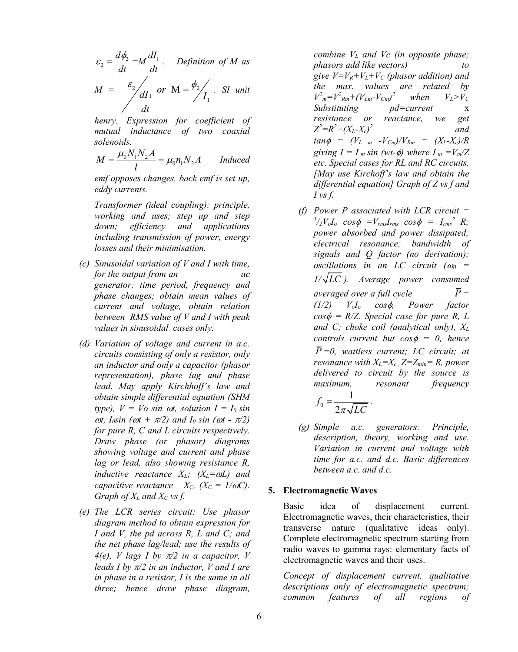$$
\varepsilon_2 = \frac{d\phi_2}{dt} = M \frac{dI_1}{dt}.
$$
 Definition of M as  

$$
M = \frac{\varepsilon_2}{\frac{dI_1}{dt}} \text{ or } M = \frac{\phi_2}{I_1}.
$$
 SI unit

*henry. Expression for coefficient of mutual inductance of two coaxial solenoids.* 

$$
M = \frac{\mu_0 N_1 N_2 A}{l} = \mu_0 n_1 N_2 A \qquad Induced
$$

*emf opposes changes, back emf is set up, eddy currents.* 

*Transformer (ideal coupling): principle, working and uses; step up and step down; efficiency and applications including transmission of power, energy losses and their minimisation.*

- *(c) Sinusoidal variation of V and I with time, for the output from an ac generator; time period, frequency and phase changes; obtain mean values of current and voltage, obtain relation between RMS value of V and I with peak values in sinusoidal cases only.*
- *(d) Variation of voltage and current in a.c. circuits consisting of only a resistor, only an inductor and only a capacitor (phasor representation), phase lag and phase lead*. *May apply Kirchhoff's law and obtain simple differential equation (SHM type),*  $V = Vo \sin \omega t$ , solution  $I = I_0 \sin \omega t$  $ωt$ ,  $I<sub>0</sub>sin (ωt + π/2)$  and  $I<sub>0</sub>sin (ωt - π/2)$ *for pure R, C and L circuits respectively. Draw phase (or phasor) diagrams showing voltage and current and phase lag or lead, also showing resistance R, inductive reactance XL; (XL=*ω*L) and capacitive reactance*  $X_C$ ,  $(X_C = 1/\omega C)$ . *Graph of XL and XC vs f.*
- *(e) The LCR series circuit: Use phasor diagram method to obtain expression for I and V, the pd across R, L and C; and the net phase lag/lead; use the results of 4(e), V lags I by*  $\pi/2$  *in a capacitor, V leads I by* π*/2 in an inductor, V and I are in phase in a resistor, I is the same in all three; hence draw phase diagram,*

*combine VL and Vc (in opposite phase; phasors add like vectors) give*  $V=V_R+V_L+V_C$  *(phasor addition) and the max. values are related by*   $V^2_m = V^2_{Rm} + (V_{Lm} - V_{Cm})^2$  *when*  $V_L > V_C$ *Substituting pd=current* x *resistance or reactance, we get Z2 =R2 +(XL-Xc) 2 and*   $tan \phi = (V_{L m} - V_{Cm})/V_{Rm} = (X_{L} - X_{c})/R$ *giving*  $I = I_m \sin{(wt-\phi)}$  *where*  $I_m = V_m/Z$ *etc. Special cases for RL and RC circuits. [May use Kirchoff's law and obtain the differential equation] Graph of Z vs f and I vs f.*

*(f) Power P associated with LCR circuit =*  $^{1}/_{2}V_{o}I_{o}$  *cos* $\phi$  *=V<sub>rms</sub>I<sub>rms</sub> cos* $\phi$  *= I<sub>rms</sub>*<sup>2</sup> *R*; *power absorbed and power dissipated; electrical resonance; bandwidth of signals and Q factor (no derivation); oscillations in an LC circuit*  $(\omega_0 =$ *1/ LC ). Average power consumed averaged over a full cycle*  $\overline{P}$  = *(1/2) VoIo cos*φ*, Power factor*   $cos \phi = R/Z$ . Special case for pure R, L *and C; choke coil (analytical only), XL controls current but cos*φ *= 0, hence P =0, wattless current; LC circuit; at resonance with*  $X_L = X_c$ ,  $Z = Z_{min} = R$ , power *delivered to circuit by the source is maximum, resonant frequency*

$$
f_0 = \frac{1}{2\pi\sqrt{LC}}.
$$

*(g) Simple a.c. generators: Principle, description, theory, working and use. Variation in current and voltage with time for a.c. and d.c. Basic differences between a.c. and d.c.*

#### **5. Electromagnetic Waves**

Basic idea of displacement current. Electromagnetic waves, their characteristics, their transverse nature (qualitative ideas only). Complete electromagnetic spectrum starting from radio waves to gamma rays: elementary facts of electromagnetic waves and their uses.

*Concept of displacement current, qualitative descriptions only of electromagnetic spectrum; common features of all regions of*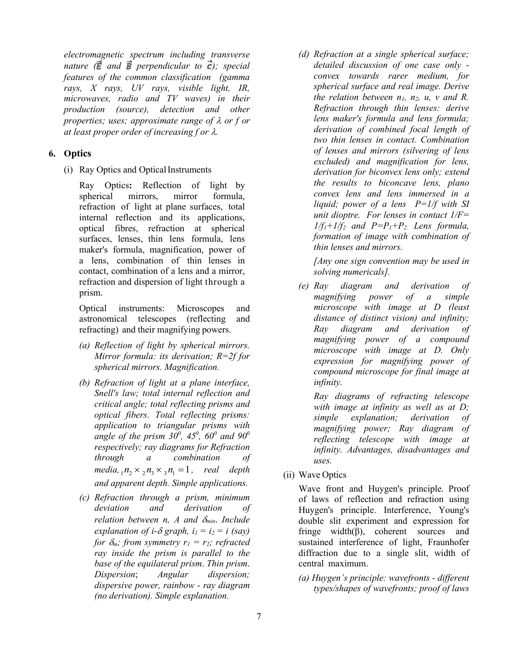*electromagnetic spectrum including transverse nature*  $(\vec{E}$  and  $\vec{B}$  perpendicular to  $\vec{c}$ ); special *features of the common classification (gamma rays, X rays, UV rays, visible light, IR, microwaves, radio and TV waves) in their production (source), detection and other properties; uses; approximate range of* λ *or f or at least proper order of increasing f or* λ*.* 

# **6. Optics**

(i) Ray Optics and OpticalInstruments

Ray Optics: Reflection of light by spherical mirrors, mirror formula. spherical mirrors, mirror formula, refraction of light at plane surfaces, total internal reflection and its applications, optical fibres, refraction at spherical surfaces, lenses, thin lens formula, lens maker's formula, magnification, power of a lens, combination of thin lenses in contact, combination of a lens and a mirror, refraction and dispersion of light through a prism.

Optical instruments: Microscopes and astronomical telescopes (reflecting and refracting) and their magnifying powers.

- *(a) Reflection of light by spherical mirrors. Mirror formula: its derivation; R=2f for spherical mirrors. Magnification.*
- *(b) Refraction of light at a plane interface, Snell's law; total internal reflection and critical angle; total reflecting prisms and optical fibers*. *Total reflecting prisms: application to triangular prisms with*  angle of the prism  $30^0$ ,  $45^0$ ,  $60^0$  and  $90^0$ *respectively; ray diagrams for Refraction through a combination of media*,  $n_1 \times 2, n_2 \times 3, n_1 = 1$ , *real depth and apparent depth. Simple applications.*
- *(c) Refraction through a prism, minimum deviation and derivation of relation between n, A and* δ*min*. *Include explanation of i-* $\delta$  *graph, i<sub>1</sub> = i<sub>2</sub> = i (say) for*  $\delta_m$ *; from symmetry r<sub>1</sub> = r<sub>2</sub><i>; refracted ray inside the prism is parallel to the base of the equilateral prism*. *Thin prism*. *Dispersion*; *Angular dispersion; dispersive power, rainbow - ray diagram (no derivation). Simple explanation.*

*(d) Refraction at a single spherical surface; detailed discussion of one case only convex towards rarer medium, for spherical surface and real image. Derive the relation between*  $n_1$ *,*  $n_2$ *,*  $u$ *,*  $v$  *and R. Refraction through thin lenses: derive lens maker's formula and lens formula; derivation of combined focal length of two thin lenses in contact. Combination of lenses and mirrors (silvering of lens excluded) and magnification for lens, derivation for biconvex lens only; extend the results to biconcave lens, plano convex lens and lens immersed in a liquid; power of a lens P=1/f with SI unit dioptre. For lenses in contact 1/F=*   $1/f_1+1/f_2$  *and P=P<sub>1</sub>+P<sub>2</sub>. Lens formula, formation of image with combination of thin lenses and mirrors.*

*[Any one sign convention may be used in solving numericals].*

*(e) Ray diagram and derivation of magnifying power of a simple microscope with image at D (least distance of distinct vision) and infinity; Ray diagram and derivation of magnifying power of a compound microscope with image at D. Only expression for magnifying power of compound microscope for final image at infinity.*

*Ray diagrams of refracting telescope with image at infinity as well as at D; simple explanation; derivation of magnifying power; Ray diagram of reflecting telescope with image at infinity. Advantages, disadvantages and uses.*

(ii) Wave Optics

Wave front and Huygen's principle. Proof of laws of reflection and refraction using Huygen's principle. Interference, Young's double slit experiment and expression for fringe width $(\beta)$ , coherent sources and sustained interference of light, Fraunhofer diffraction due to a single slit, width of central maximum.

*(a) Huygen's principle: wavefronts - different types/shapes of wavefronts; proof of laws*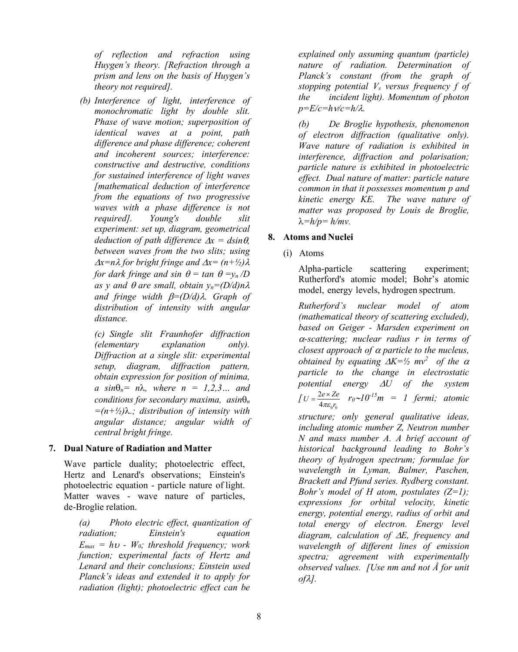*of reflection and refraction using Huygen's theory. [Refraction through a prism and lens on the basis of Huygen's theory not required].* 

*(b) Interference of light, interference of monochromatic light by double slit. Phase of wave motion; superposition of identical waves at a point, path difference and phase difference; coherent and incoherent sources; interference: constructive and destructive, conditions for sustained interference of light waves [mathematical deduction of interference from the equations of two progressive waves with a phase difference is not required]. Young's double slit experiment: set up, diagram, geometrical deduction of path difference*  $\Delta x = dsin\theta$ , *between waves from the two slits; using*  <sup>∆</sup>*x=n*λ *for bright fringe and* ∆*x= (n+½)*λ *for dark fringe and sin*  $\theta = \tan \theta = v_n/D$ *as y and*  $\theta$  *are small, obtain*  $y_n = (D/d)n\lambda$ *and fringe width* β*=(D/d)*λ*. Graph of distribution of intensity with angular distance.*

*(c) Single slit Fraunhofer diffraction (elementary explanation only). Diffraction at a single slit: experimental setup, diagram, diffraction pattern, obtain expression for position of minima,*  $a \sin\theta_n = n\lambda$ , where  $n = 1,2,3...$  and *conditions for secondary maxima, asin*θ*<sup>n</sup> =(n+½)*λ*.; distribution of intensity with angular distance; angular width of central bright fringe.* 

# **7. Dual Nature of Radiation andMatter**

Wave particle duality; photoelectric effect, Hertz and Lenard's observations; Einstein's photoelectric equation - particle nature of light. Matter waves - wave nature of particles, de-Broglie relation.

*(a) Photo electric effect, quantization of radiation; Einstein's equation*   $E_{max} = h\nu$  *- W<sub>0</sub>; threshold frequency; work function;* e*xperimental facts of Hertz and Lenard and their conclusions; Einstein used Planck's ideas and extended it to apply for radiation (light); photoelectric effect can be* 

*explained only assuming quantum (particle) nature of radiation. Determination of Planck's constant (from the graph of stopping potential Vs versus frequency f of the incident light). Momentum of photon p=E/c=h*ν*/c=h/*λ*.* 

*(b) De Broglie hypothesis, phenomenon of electron diffraction (qualitative only). Wave nature of radiation is exhibited in interference, diffraction and polarisation; particle nature is exhibited in photoelectric effect. Dual nature of matter: particle nature common in that it possesses momentum p and kinetic energy KE. The wave nature of matter was proposed by Louis de Broglie,* λ*=h/p= h/mv.* 

# **8. Atoms and Nuclei**

(i) Atoms

Alpha-particle scattering experiment; Rutherford's atomic model; Bohr's atomic model, energy levels, hydrogen spectrum.

*Rutherford's nuclear model of atom (mathematical theory of scattering excluded), based on Geiger - Marsden experiment on*  <sup>α</sup>*-scattering; nuclear radius r in terms of closest approach of* <sup>α</sup> *particle to the nucleus, obtained by equating*  $\Delta K = \frac{1}{2} m v^2$  *of the*  $\alpha$ *particle to the change in electrostatic potential energy* ∆*U of the system [*  $4\pi\varepsilon_{\text{o}} r_{\text{o}}$  $U = \frac{2e \times Ze}{4\pi \epsilon_0 r_0}$   $r_0 \sim 10^{-15}$   $m = 1$  fermi; atomic

*structure; only general qualitative ideas, including atomic number Z, Neutron number N and mass number A. A brief account of historical background leading to Bohr's theory of hydrogen spectrum; formulae for wavelength in Lyman, Balmer, Paschen, Brackett and Pfund series. Rydberg constant. Bohr's model of H atom, postulates (Z=1); expressions for orbital velocity, kinetic energy, potential energy, radius of orbit and total energy of electron. Energy level diagram, calculation of* <sup>∆</sup>*E, frequency and wavelength of different lines of emission spectra; agreement with experimentally observed values. [Use nm and not Å for unit of*λ*].*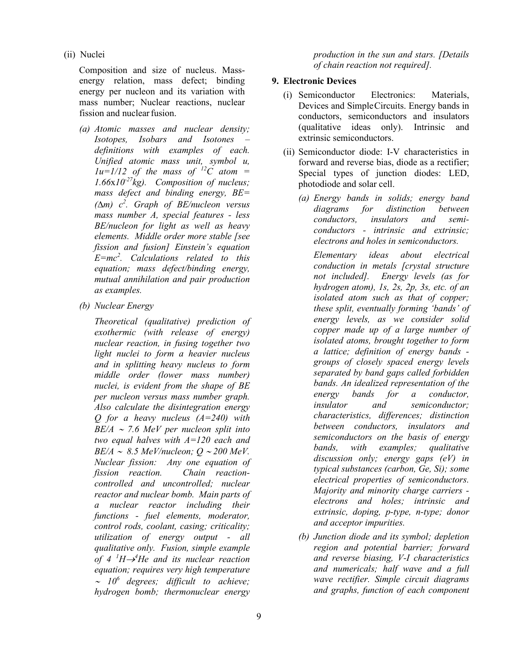(ii) Nuclei

Composition and size of nucleus. Massenergy relation, mass defect; binding energy per nucleon and its variation with mass number; Nuclear reactions, nuclear fission and nuclear fusion.

- *(a) Atomic masses and nuclear density; Isotopes, Isobars and Isotones – definitions with examples of each. Unified atomic mass unit, symbol u,*   $1u=1/12$  of the mass of <sup>12</sup>C atom = *1.66*x*10-27kg). Composition of nucleus; mass defect and binding energy, BE= (*∆*m) c<sup>2</sup> . Graph of BE/nucleon versus mass number A, special features - less BE/nucleon for light as well as heavy elements. Middle order more stable [see fission and fusion] Einstein's equation E=mc<sup>2</sup> . Calculations related to this equation; mass defect/binding energy, mutual annihilation and pair production as examples.*
- *(b) Nuclear Energy*

*Theoretical (qualitative) prediction of exothermic (with release of energy) nuclear reaction, in fusing together two light nuclei to form a heavier nucleus and in splitting heavy nucleus to form middle order (lower mass number) nuclei, is evident from the shape of BE per nucleon versus mass number graph. Also calculate the disintegration energy Q for a heavy nucleus (A=240) with BE/A* <sup>∼</sup> *7.6 MeV per nucleon split into two equal halves with A=120 each and BE/A* ∼ *8.5 MeV/nucleon; Q* <sup>∼</sup> *200 MeV. Nuclear fission: Any one equation of fission reaction. Chain reactioncontrolled and uncontrolled; nuclear reactor and nuclear bomb. Main parts of a nuclear reactor including their functions - fuel elements, moderator, control rods, coolant, casing; criticality; utilization of energy output - all qualitative only. Fusion, simple example of* 4 <sup>*<sup>1</sup>H→<sup>4</sup>He and its nuclear reaction*</sup> *equation; requires very high temperature*  ∼ *106 degrees; difficult to achieve; hydrogen bomb; thermonuclear energy* 

*production in the sun and stars. [Details of chain reaction not required].*

# **9. Electronic Devices**

- (i) Semiconductor Electronics: Materials, Devices and SimpleCircuits. Energy bands in conductors, semiconductors and insulators (qualitative ideas only). Intrinsic and extrinsic semiconductors.
- (ii) Semiconductor diode: I-V characteristics in forward and reverse bias, diode as a rectifier; Special types of junction diodes: LED, photodiode and solar cell.
	- *(a) Energy bands in solids; energy band diagrams for distinction between conductors, insulators and semiconductors - intrinsic and extrinsic; electrons and holes in semiconductors.*

*Elementary ideas about electrical conduction in metals [crystal structure not included]. Energy levels (as for hydrogen atom), 1s, 2s, 2p, 3s, etc. of an isolated atom such as that of copper; these split, eventually forming 'bands' of energy levels, as we consider solid copper made up of a large number of isolated atoms, brought together to form a lattice; definition of energy bands groups of closely spaced energy levels separated by band gaps called forbidden bands. An idealized representation of the energy bands for a conductor, insulator and semiconductor; characteristics, differences; distinction between conductors, insulators and semiconductors on the basis of energy bands, with examples; qualitative discussion only; energy gaps (eV) in typical substances (carbon, Ge, Si); some electrical properties of semiconductors. Majority and minority charge carriers electrons and holes; intrinsic and extrinsic, doping, p-type, n-type; donor and acceptor impurities.*

*(b) Junction diode and its symbol; depletion region and potential barrier; forward and reverse biasing, V-I characteristics and numericals; half wave and a full wave rectifier. Simple circuit diagrams and graphs, function of each component*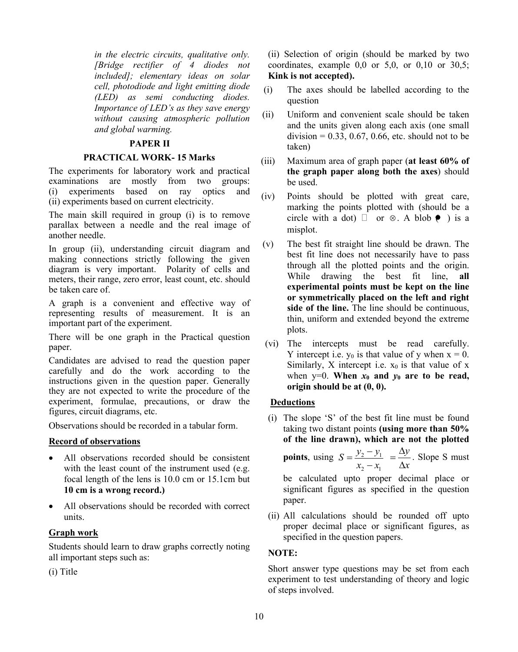*in the electric circuits, qualitative only. [Bridge rectifier of 4 diodes not included]; elementary ideas on solar cell, photodiode and light emitting diode (LED) as semi conducting diodes. Importance of LED's as they save energy without causing atmospheric pollution and global warming.* 

#### **PAPER II**

#### **PRACTICAL WORK- 15 Marks**

The experiments for laboratory work and practical examinations are mostly from two groups: (i) experiments based on ray optics and (ii) experiments based on current electricity.

The main skill required in group (i) is to remove parallax between a needle and the real image of another needle.

In group (ii), understanding circuit diagram and making connections strictly following the given diagram is very important. Polarity of cells and meters, their range, zero error, least count, etc. should be taken care of.

A graph is a convenient and effective way of representing results of measurement. It is an important part of the experiment.

There will be one graph in the Practical question paper.

Candidates are advised to read the question paper carefully and do the work according to the instructions given in the question paper. Generally they are not expected to write the procedure of the experiment, formulae, precautions, or draw the figures, circuit diagrams, etc.

Observations should be recorded in a tabular form.

#### **Record of observations**

- All observations recorded should be consistent with the least count of the instrument used (e.g. focal length of the lens is 10.0 cm or 15.1cm but **10 cm is a wrong record.)**
- All observations should be recorded with correct units.

#### **Graph work**

Students should learn to draw graphs correctly noting all important steps such as:

(i) Title

(ii) Selection of origin (should be marked by two coordinates, example 0,0 or 5,0, or 0,10 or 30,5; **Kink is not accepted).**

- (i) The axes should be labelled according to the question
- (ii) Uniform and convenient scale should be taken and the units given along each axis (one small division =  $0.33$ ,  $0.67$ ,  $0.66$ , etc. should not to be taken)
- (iii) Maximum area of graph paper (**at least 60% of the graph paper along both the axes**) should be used.
- (iv) Points should be plotted with great care, marking the points plotted with (should be a circle with a dot)  $\Box$  or  $\otimes$ . A blob  $\bullet$  ) is a misplot.
- (v) The best fit straight line should be drawn. The best fit line does not necessarily have to pass through all the plotted points and the origin. While drawing the best fit line, **all experimental points must be kept on the line or symmetrically placed on the left and right side of the line.** The line should be continuous, thin, uniform and extended beyond the extreme plots.
- (vi) The intercepts must be read carefully. Y intercept i.e.  $y_0$  is that value of y when  $x = 0$ . Similarly, X intercept i.e.  $x_0$  is that value of x when  $y=0$ . **When**  $x_0$  **and**  $y_0$  **are to be read, origin should be at (0, 0).**

#### **Deductions**

(i) The slope 'S' of the best fit line must be found taking two distant points **(using more than 50% of the line drawn), which are not the plotted** 

**points**, using  $S = \frac{y_2 - y_1}{y_1}$ 2  $\mathcal{N}_1$  $S = \frac{y_2 - y}{ }$  $=\frac{y_2 - y_1}{x_2 - x_1} = \frac{\Delta y}{\Delta x}$  $=\frac{\Delta y}{\Delta x}$ . Slope S must

be calculated upto proper decimal place or significant figures as specified in the question paper.

(ii) All calculations should be rounded off upto proper decimal place or significant figures, as specified in the question papers.

#### **NOTE:**

Short answer type questions may be set from each experiment to test understanding of theory and logic of steps involved.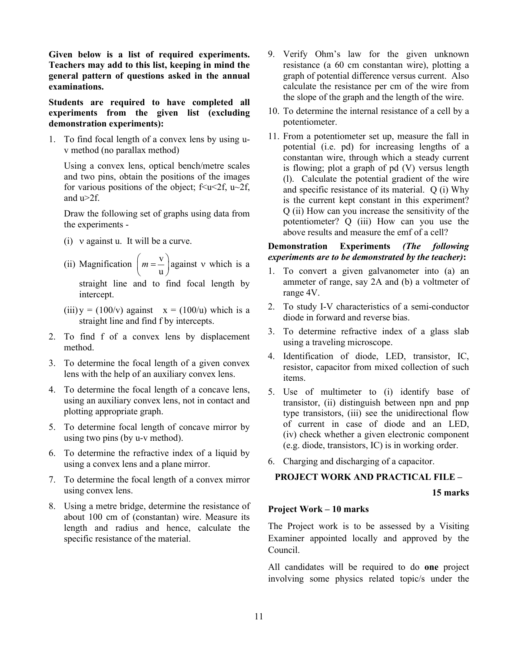**Given below is a list of required experiments. Teachers may add to this list, keeping in mind the general pattern of questions asked in the annual examinations.**

**Students are required to have completed all experiments from the given list (excluding demonstration experiments):**

1. To find focal length of a convex lens by using uv method (no parallax method)

Using a convex lens, optical bench/metre scales and two pins, obtain the positions of the images for various positions of the object;  $f \le u \le 2f$ ,  $u \sim 2f$ , and  $u>2f$ .

Draw the following set of graphs using data from the experiments -

- (i) ν against u. It will be a curve.
- (ii) Magnification  $\left( m = \frac{v}{c} \right)$ u  $\left(m = \frac{v}{u}\right)$  against v which is a

straight line and to find focal length by intercept.

- (iii)  $y = (100/v)$  against  $x = (100/u)$  which is a straight line and find f by intercepts.
- 2. To find f of a convex lens by displacement method.
- 3. To determine the focal length of a given convex lens with the help of an auxiliary convex lens.
- 4. To determine the focal length of a concave lens, using an auxiliary convex lens, not in contact and plotting appropriate graph.
- 5. To determine focal length of concave mirror by using two pins (by u-v method).
- 6. To determine the refractive index of a liquid by using a convex lens and a plane mirror.
- 7. To determine the focal length of a convex mirror using convex lens.
- 8. Using a metre bridge, determine the resistance of about 100 cm of (constantan) wire. Measure its length and radius and hence, calculate the specific resistance of the material.
- 9. Verify Ohm's law for the given unknown resistance (a 60 cm constantan wire), plotting a graph of potential difference versus current. Also calculate the resistance per cm of the wire from the slope of the graph and the length of the wire.
- 10. To determine the internal resistance of a cell by a potentiometer.
- 11. From a potentiometer set up, measure the fall in potential (i.e. pd) for increasing lengths of a constantan wire, through which a steady current is flowing; plot a graph of pd (V) versus length (l). Calculate the potential gradient of the wire and specific resistance of its material. Q (i) Why is the current kept constant in this experiment? Q (ii) How can you increase the sensitivity of the potentiometer? Q (iii) How can you use the above results and measure the emf of a cell?

# **Demonstration Experiments** *(The following experiments are to be demonstrated by the teacher)***:**

- 1. To convert a given galvanometer into (a) an ammeter of range, say 2A and (b) a voltmeter of range 4V.
- 2. To study I-V characteristics of a semi-conductor diode in forward and reverse bias.
- 3. To determine refractive index of a glass slab using a traveling microscope.
- 4. Identification of diode, LED, transistor, IC, resistor, capacitor from mixed collection of such items.
- 5. Use of multimeter to (i) identify base of transistor, (ii) distinguish between npn and pnp type transistors, (iii) see the unidirectional flow of current in case of diode and an LED, (iv) check whether a given electronic component (e.g. diode, transistors, IC) is in working order.
- 6. Charging and discharging of a capacitor.

#### **PROJECT WORK AND PRACTICAL FILE –**

**15 marks**

#### **Project Work – 10 marks**

The Project work is to be assessed by a Visiting Examiner appointed locally and approved by the Council.

All candidates will be required to do **one** project involving some physics related topic/s under the